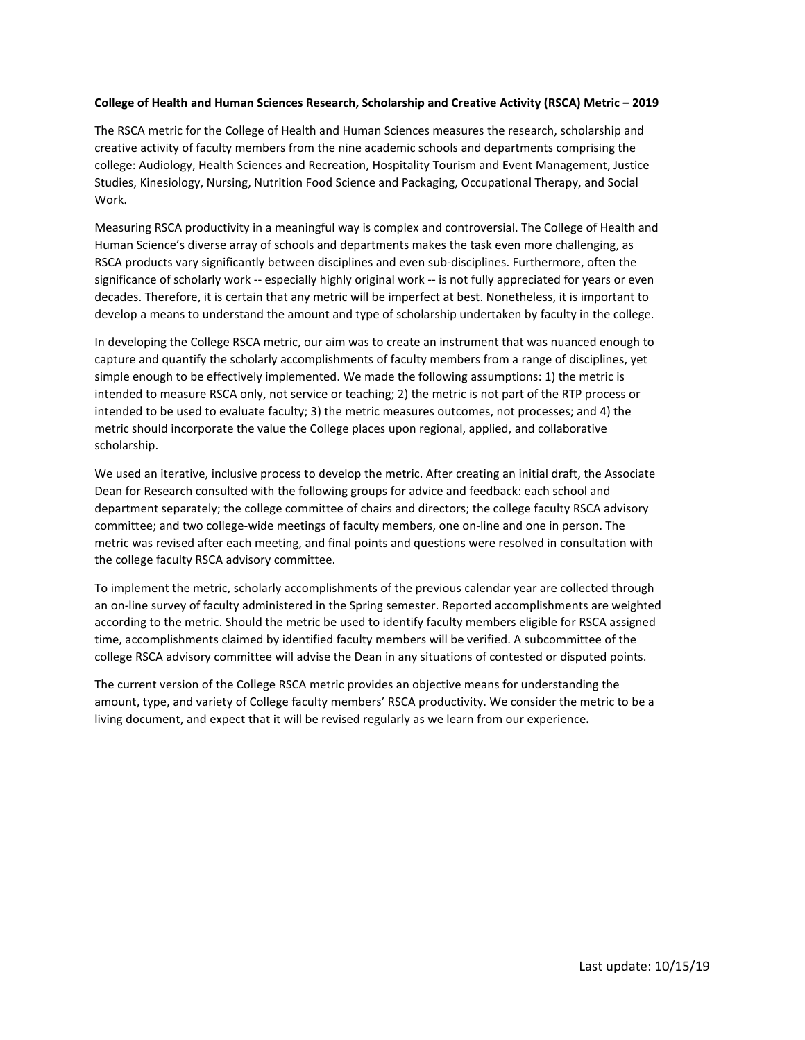## **College of Health and Human Sciences Research, Scholarship and Creative Activity (RSCA) Metric – 2019**

The RSCA metric for the College of Health and Human Sciences measures the research, scholarship and creative activity of faculty members from the nine academic schools and departments comprising the college: Audiology, Health Sciences and Recreation, Hospitality Tourism and Event Management, Justice Studies, Kinesiology, Nursing, Nutrition Food Science and Packaging, Occupational Therapy, and Social Work.

Measuring RSCA productivity in a meaningful way is complex and controversial. The College of Health and Human Science's diverse array of schools and departments makes the task even more challenging, as RSCA products vary significantly between disciplines and even sub-disciplines. Furthermore, often the significance of scholarly work -- especially highly original work -- is not fully appreciated for years or even decades. Therefore, it is certain that any metric will be imperfect at best. Nonetheless, it is important to develop a means to understand the amount and type of scholarship undertaken by faculty in the college.

In developing the College RSCA metric, our aim was to create an instrument that was nuanced enough to capture and quantify the scholarly accomplishments of faculty members from a range of disciplines, yet simple enough to be effectively implemented. We made the following assumptions: 1) the metric is intended to measure RSCA only, not service or teaching; 2) the metric is not part of the RTP process or intended to be used to evaluate faculty; 3) the metric measures outcomes, not processes; and 4) the metric should incorporate the value the College places upon regional, applied, and collaborative scholarship.

We used an iterative, inclusive process to develop the metric. After creating an initial draft, the Associate Dean for Research consulted with the following groups for advice and feedback: each school and department separately; the college committee of chairs and directors; the college faculty RSCA advisory committee; and two college-wide meetings of faculty members, one on-line and one in person. The metric was revised after each meeting, and final points and questions were resolved in consultation with the college faculty RSCA advisory committee.

To implement the metric, scholarly accomplishments of the previous calendar year are collected through an on-line survey of faculty administered in the Spring semester. Reported accomplishments are weighted according to the metric. Should the metric be used to identify faculty members eligible for RSCA assigned time, accomplishments claimed by identified faculty members will be verified. A subcommittee of the college RSCA advisory committee will advise the Dean in any situations of contested or disputed points.

The current version of the College RSCA metric provides an objective means for understanding the amount, type, and variety of College faculty members' RSCA productivity. We consider the metric to be a living document, and expect that it will be revised regularly as we learn from our experience**.**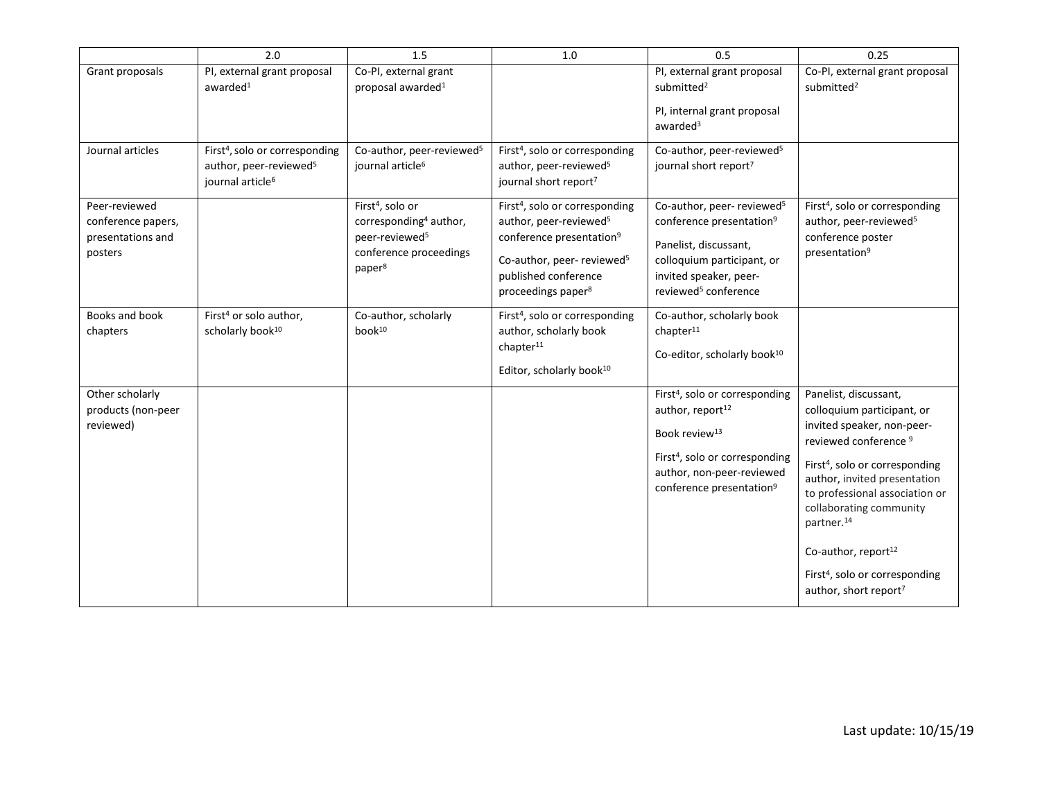|                                                                     | 2.0                                                                                                              | 1.5                                                                                                                                              | 1.0                                                                                                                                                                                                                          | 0.5                                                                                                                                                                                                                        | 0.25                                                                                                                                                                                                                                                                                                                                                                                                             |
|---------------------------------------------------------------------|------------------------------------------------------------------------------------------------------------------|--------------------------------------------------------------------------------------------------------------------------------------------------|------------------------------------------------------------------------------------------------------------------------------------------------------------------------------------------------------------------------------|----------------------------------------------------------------------------------------------------------------------------------------------------------------------------------------------------------------------------|------------------------------------------------------------------------------------------------------------------------------------------------------------------------------------------------------------------------------------------------------------------------------------------------------------------------------------------------------------------------------------------------------------------|
| Grant proposals                                                     | PI, external grant proposal<br>awarded $1$                                                                       | Co-PI, external grant<br>proposal awarded <sup>1</sup>                                                                                           |                                                                                                                                                                                                                              | PI, external grant proposal<br>submitted <sup>2</sup>                                                                                                                                                                      | Co-PI, external grant proposal<br>submitted <sup>2</sup>                                                                                                                                                                                                                                                                                                                                                         |
|                                                                     |                                                                                                                  |                                                                                                                                                  |                                                                                                                                                                                                                              | PI, internal grant proposal<br>awarded <sup>3</sup>                                                                                                                                                                        |                                                                                                                                                                                                                                                                                                                                                                                                                  |
| Journal articles                                                    | First <sup>4</sup> , solo or corresponding<br>author, peer-reviewed <sup>5</sup><br>journal article <sup>6</sup> | Co-author, peer-reviewed <sup>5</sup><br>journal article <sup>6</sup>                                                                            | First <sup>4</sup> , solo or corresponding<br>author, peer-reviewed <sup>5</sup><br>journal short report <sup>7</sup>                                                                                                        | Co-author, peer-reviewed <sup>5</sup><br>journal short report7                                                                                                                                                             |                                                                                                                                                                                                                                                                                                                                                                                                                  |
| Peer-reviewed<br>conference papers,<br>presentations and<br>posters |                                                                                                                  | First <sup>4</sup> , solo or<br>corresponding <sup>4</sup> author,<br>peer-reviewed <sup>5</sup><br>conference proceedings<br>paper <sup>8</sup> | First <sup>4</sup> , solo or corresponding<br>author, peer-reviewed <sup>5</sup><br>conference presentation <sup>9</sup><br>Co-author, peer- reviewed <sup>5</sup><br>published conference<br>proceedings paper <sup>8</sup> | Co-author, peer- reviewed <sup>5</sup><br>conference presentation <sup>9</sup><br>Panelist, discussant,<br>colloquium participant, or<br>invited speaker, peer-<br>reviewed <sup>5</sup> conference                        | First <sup>4</sup> , solo or corresponding<br>author, peer-reviewed <sup>5</sup><br>conference poster<br>presentation <sup>9</sup>                                                                                                                                                                                                                                                                               |
| Books and book<br>chapters                                          | First <sup>4</sup> or solo author,<br>scholarly book <sup>10</sup>                                               | Co-author, scholarly<br>book <sup>10</sup>                                                                                                       | First <sup>4</sup> , solo or corresponding<br>author, scholarly book<br>chapter <sup>11</sup><br>Editor, scholarly book <sup>10</sup>                                                                                        | Co-author, scholarly book<br>chapter <sup>11</sup><br>Co-editor, scholarly book <sup>10</sup>                                                                                                                              |                                                                                                                                                                                                                                                                                                                                                                                                                  |
| Other scholarly<br>products (non-peer<br>reviewed)                  |                                                                                                                  |                                                                                                                                                  |                                                                                                                                                                                                                              | First <sup>4</sup> , solo or corresponding<br>author, report <sup>12</sup><br>Book review <sup>13</sup><br>First <sup>4</sup> , solo or corresponding<br>author, non-peer-reviewed<br>conference presentation <sup>9</sup> | Panelist, discussant,<br>colloquium participant, or<br>invited speaker, non-peer-<br>reviewed conference <sup>9</sup><br>First <sup>4</sup> , solo or corresponding<br>author, invited presentation<br>to professional association or<br>collaborating community<br>partner. <sup>14</sup><br>Co-author, report <sup>12</sup><br>First <sup>4</sup> , solo or corresponding<br>author, short report <sup>7</sup> |